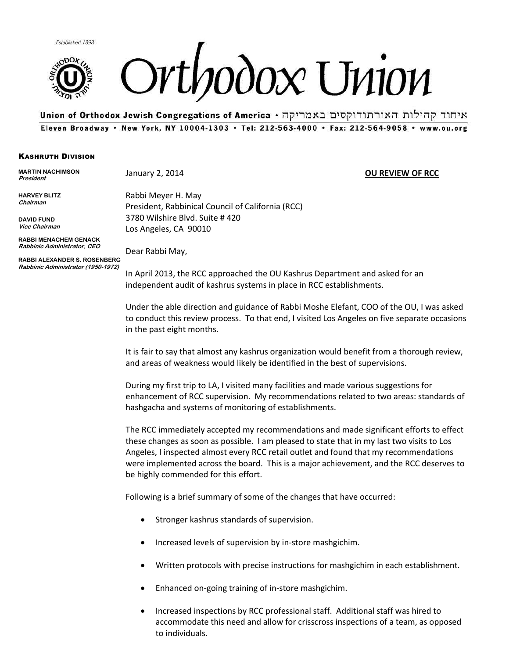



Whion of Orthodox Jewish Congregations of America • איחוד קהילות האורתודוקסים באמריקה Eleven Broadway . New York, NY 10004-1303 . Tel: 212-563-4000 . Fax: 212-564-9058 . www.ou.org

## KASHRUTH DIVISION

**MARTIN NACHIMSON President** 

**HARVEY BLITZ Chairman**

**DAVID FUND Vice Chairman**

**RABBI MENACHEM GENACK Rabbinic Administrator, CEO**

Dear Rabbi May,

Rabbi Meyer H. May

Los Angeles, CA 90010

3780 Wilshire Blvd. Suite # 420

President, Rabbinical Council of California (RCC)

**RABBI ALEXANDER S. ROSENBERG Rabbinic Administrator (1950-1972)**

In April 2013, the RCC approached the OU Kashrus Department and asked for an independent audit of kashrus systems in place in RCC establishments.

Under the able direction and guidance of Rabbi Moshe Elefant, COO of the OU, I was asked to conduct this review process. To that end, I visited Los Angeles on five separate occasions in the past eight months.

It is fair to say that almost any kashrus organization would benefit from a thorough review, and areas of weakness would likely be identified in the best of supervisions.

During my first trip to LA, I visited many facilities and made various suggestions for enhancement of RCC supervision. My recommendations related to two areas: standards of hashgacha and systems of monitoring of establishments.

The RCC immediately accepted my recommendations and made significant efforts to effect these changes as soon as possible. I am pleased to state that in my last two visits to Los Angeles, I inspected almost every RCC retail outlet and found that my recommendations were implemented across the board. This is a major achievement, and the RCC deserves to be highly commended for this effort.

Following is a brief summary of some of the changes that have occurred:

- Stronger kashrus standards of supervision.
- Increased levels of supervision by in-store mashgichim.
- Written protocols with precise instructions for mashgichim in each establishment.
- Enhanced on-going training of in-store mashgichim.
- Increased inspections by RCC professional staff. Additional staff was hired to accommodate this need and allow for crisscross inspections of a team, as opposed to individuals.

## January 2, 2014 **OU REVIEW OF RCC**